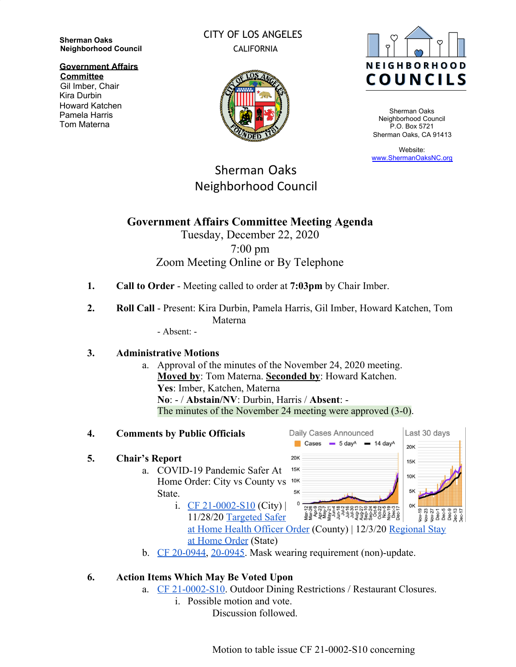**Sherman Oaks Neighborhood Council**

**Government Affairs**

**Committee** Gil Imber, Chair Kira Durbin Howard Katchen Pamela Harris Tom Materna

### CITY OF LOS ANGELES CALIFORNIA



Sherman Oaks Neighborhood Council P.O. Box 5721 Sherman Oaks, CA 91413

Website: [www.ShermanOaksNC.org](http://www.shermanoaksnc.org/)

# Sherman Oaks Neighborhood Council

# **Government Affairs Committee Meeting Agenda**

# Tuesday, December 22, 2020 7:00 pm Zoom Meeting Online or By Telephone

- **1. Call to Order**  Meeting called to order at **7:03pm** by Chair Imber.
- **2. Roll Call** Present: Kira Durbin, Pamela Harris, Gil Imber, Howard Katchen, Tom Materna

- Absent: -

### **3. Administrative Motions**

a. Approval of the minutes of the November 24, 2020 meeting. **Moved by**: Tom Materna. **Seconded by**: Howard Katchen. **Yes**: Imber, Katchen, Materna **No**: - / **Abstain/NV**: Durbin, Harris / **Absent**: - The minutes of the November 24 meeting were approved (3-0).

#### **4. Comments by Public Officials**

#### **5. Chair's Report**

- a. COVID-19 Pandemic Safer At Home Order: City vs County vs 10K State.
	- i. [CF 21-0002-S10](https://cityclerk.lacity.org/lacityclerkconnect/index.cfm?fa=ccfi.viewrecord&cfnumber=21-0002-S10) (City)  $|$ 11/28/20 [Targeted Safer](http://publichealth.lacounty.gov/media/coronavirus/docs/HOO/HOO_SaferatHome_SurgeResponse.pdf) [at Home Order](https://www.gov.ca.gov/wp-content/uploads/2020/12/12.3.20-Stay-at-Home-Order-ICU-Scenario.pdf) (State)



b. [CF 20-0944](https://cityclerk.lacity.org/lacityclerkconnect/index.cfm?fa=ccfi.viewrecord&cfnumber=20-0944), [20-0945](https://cityclerk.lacity.org/lacityclerkconnect/index.cfm?fa=ccfi.viewrecord&cfnumber=20-0945). Mask wearing requirement (non)-update.

### **6. Action Items Which May Be Voted Upon**

- a. [CF 21-0002-S10](https://cityclerk.lacity.org/lacityclerkconnect/index.cfm?fa=ccfi.viewrecord&cfnumber=21-0002-S10). Outdoor Dining Restrictions / Restaurant Closures.
	- i. Possible motion and vote.

Discussion followed.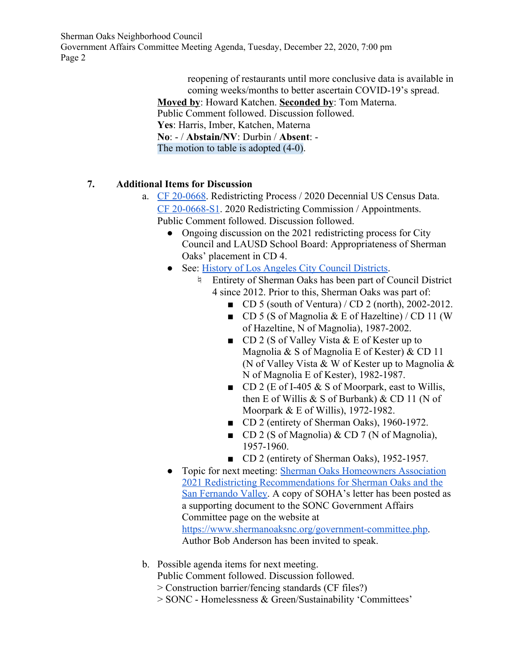Sherman Oaks Neighborhood Council Government Affairs Committee Meeting Agenda, Tuesday, December 22, 2020, 7:00 pm Page 2

> reopening of restaurants until more conclusive data is available in coming weeks/months to better ascertain COVID-19's spread. **Moved by**: Howard Katchen. **Seconded by**: Tom Materna. Public Comment followed. Discussion followed. **Yes**: Harris, Imber, Katchen, Materna **No**: - / **Abstain/NV**: Durbin / **Absent**: - The motion to table is adopted  $(4-0)$ .

#### **7. Additional Items for Discussion**

- a. [CF 20-0668](https://cityclerk.lacity.org/lacityclerkconnect/index.cfm?fa=ccfi.viewrecord&cfnumber=20-0668). Redistricting Process / 2020 Decennial US Census Data. [CF 20-0668-S1](https://cityclerk.lacity.org/lacityclerkconnect/index.cfm?fa=ccfi.viewrecord&cfnumber=20-0668-S1). 2020 Redistricting Commission / Appointments. Public Comment followed. Discussion followed.
	- Ongoing discussion on the 2021 redistricting process for City Council and LAUSD School Board: Appropriateness of Sherman Oaks' placement in CD 4.
	- See: [History of Los Angeles City Council Districts](https://clerk.lacity.org/city-archives-and-records-center/maps).
		- ♮ Entirety of Sherman Oaks has been part of Council District 4 since 2012. Prior to this, Sherman Oaks was part of:
			- CD 5 (south of Ventura) / CD 2 (north), 2002-2012.
			- $\Box$  CD 5 (S of Magnolia & E of Hazeltine) / CD 11 (W) of Hazeltine, N of Magnolia), 1987-2002.
			- CD 2 (S of Valley Vista & E of Kester up to Magnolia & S of Magnolia E of Kester) & CD 11 (N of Valley Vista & W of Kester up to Magnolia & N of Magnolia E of Kester), 1982-1987.
			- $\Box$  CD 2 (E of I-405 & S of Moorpark, east to Willis, then E of Willis  $&$  S of Burbank)  $&$  CD 11 (N of Moorpark & E of Willis), 1972-1982.
			- CD 2 (entirety of Sherman Oaks), 1960-1972.
			- CD 2 (S of Magnolia) & CD 7 (N of Magnolia), 1957-1960.
			- CD 2 (entirety of Sherman Oaks), 1952-1957.
	- Topic for next meeting: [Sherman Oaks Homeowners Association](https://www.shermanoaksnc.org/docs/34483731-7361.pdf) [2021 Redistricting Recommendations for Sherman Oaks and the](https://www.shermanoaksnc.org/docs/34483731-7361.pdf) [San Fernando Valley](https://www.shermanoaksnc.org/docs/34483731-7361.pdf). A copy of SOHA's letter has been posted as a supporting document to the SONC Government Affairs Committee page on the website at [https://www.shermanoaksnc.org/government-committee.php.](https://www.shermanoaksnc.org/government-committee.php) Author Bob Anderson has been invited to speak.
- b. Possible agenda items for next meeting.

Public Comment followed. Discussion followed.

- > Construction barrier/fencing standards (CF files?)
- > SONC Homelessness & Green/Sustainability 'Committees'